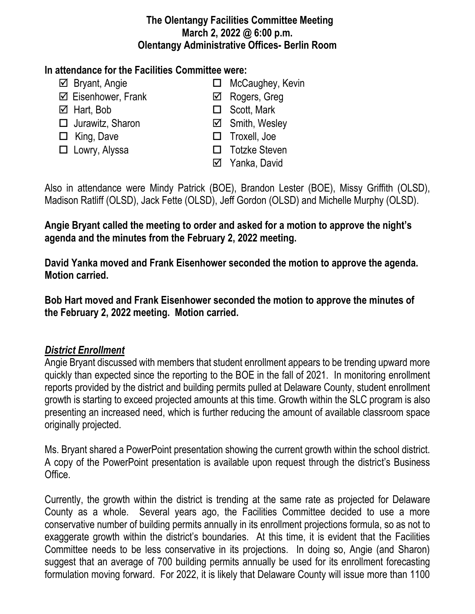#### **The Olentangy Facilities Committee Meeting March 2, 2022 @ 6:00 p.m. Olentangy Administrative Offices- Berlin Room**

### **In attendance for the Facilities Committee were:**

- 
- $\boxtimes$  Eisenhower, Frank  $\boxtimes$  Rogers, Greg
- 
- $\Box$  Jurawitz, Sharon  $\Box$  Smith, Wesley
- 
- 
- $\boxtimes$  Bryant, Angie **MCCaughey, Kevin** 
	-
- $\boxtimes$  Hart, Bob  $\Box$  Scott, Mark
	-
- □ King, Dave <br>□ Troxell, Joe
- □ Lowry, Alyssa <br>□ Totzke Steven
	- Yanka, David

Also in attendance were Mindy Patrick (BOE), Brandon Lester (BOE), Missy Griffith (OLSD), Madison Ratliff (OLSD), Jack Fette (OLSD), Jeff Gordon (OLSD) and Michelle Murphy (OLSD).

# **Angie Bryant called the meeting to order and asked for a motion to approve the night's agenda and the minutes from the February 2, 2022 meeting.**

**David Yanka moved and Frank Eisenhower seconded the motion to approve the agenda. Motion carried.**

**Bob Hart moved and Frank Eisenhower seconded the motion to approve the minutes of the February 2, 2022 meeting. Motion carried.**

## *District Enrollment*

Angie Bryant discussed with members that student enrollment appears to be trending upward more quickly than expected since the reporting to the BOE in the fall of 2021. In monitoring enrollment reports provided by the district and building permits pulled at Delaware County, student enrollment growth is starting to exceed projected amounts at this time. Growth within the SLC program is also presenting an increased need, which is further reducing the amount of available classroom space originally projected.

Ms. Bryant shared a PowerPoint presentation showing the current growth within the school district. A copy of the PowerPoint presentation is available upon request through the district's Business Office.

Currently, the growth within the district is trending at the same rate as projected for Delaware County as a whole. Several years ago, the Facilities Committee decided to use a more conservative number of building permits annually in its enrollment projections formula, so as not to exaggerate growth within the district's boundaries. At this time, it is evident that the Facilities Committee needs to be less conservative in its projections. In doing so, Angie (and Sharon) suggest that an average of 700 building permits annually be used for its enrollment forecasting formulation moving forward. For 2022, it is likely that Delaware County will issue more than 1100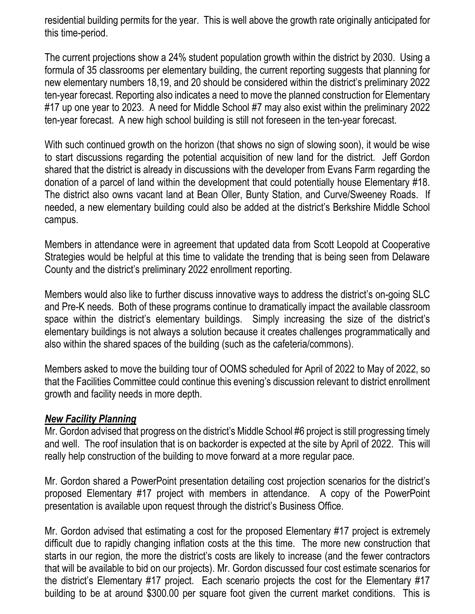residential building permits for the year. This is well above the growth rate originally anticipated for this time-period.

The current projections show a 24% student population growth within the district by 2030. Using a formula of 35 classrooms per elementary building, the current reporting suggests that planning for new elementary numbers 18,19, and 20 should be considered within the district's preliminary 2022 ten-year forecast. Reporting also indicates a need to move the planned construction for Elementary #17 up one year to 2023. A need for Middle School #7 may also exist within the preliminary 2022 ten-year forecast. A new high school building is still not foreseen in the ten-year forecast.

With such continued growth on the horizon (that shows no sign of slowing soon), it would be wise to start discussions regarding the potential acquisition of new land for the district. Jeff Gordon shared that the district is already in discussions with the developer from Evans Farm regarding the donation of a parcel of land within the development that could potentially house Elementary #18. The district also owns vacant land at Bean Oller, Bunty Station, and Curve/Sweeney Roads. If needed, a new elementary building could also be added at the district's Berkshire Middle School campus.

Members in attendance were in agreement that updated data from Scott Leopold at Cooperative Strategies would be helpful at this time to validate the trending that is being seen from Delaware County and the district's preliminary 2022 enrollment reporting.

Members would also like to further discuss innovative ways to address the district's on-going SLC and Pre-K needs. Both of these programs continue to dramatically impact the available classroom space within the district's elementary buildings. Simply increasing the size of the district's elementary buildings is not always a solution because it creates challenges programmatically and also within the shared spaces of the building (such as the cafeteria/commons).

Members asked to move the building tour of OOMS scheduled for April of 2022 to May of 2022, so that the Facilities Committee could continue this evening's discussion relevant to district enrollment growth and facility needs in more depth.

#### *New Facility Planning*

Mr. Gordon advised that progress on the district's Middle School #6 project is still progressing timely and well. The roof insulation that is on backorder is expected at the site by April of 2022. This will really help construction of the building to move forward at a more regular pace.

Mr. Gordon shared a PowerPoint presentation detailing cost projection scenarios for the district's proposed Elementary #17 project with members in attendance. A copy of the PowerPoint presentation is available upon request through the district's Business Office.

Mr. Gordon advised that estimating a cost for the proposed Elementary #17 project is extremely difficult due to rapidly changing inflation costs at the this time. The more new construction that starts in our region, the more the district's costs are likely to increase (and the fewer contractors that will be available to bid on our projects). Mr. Gordon discussed four cost estimate scenarios for the district's Elementary #17 project. Each scenario projects the cost for the Elementary #17 building to be at around \$300.00 per square foot given the current market conditions. This is